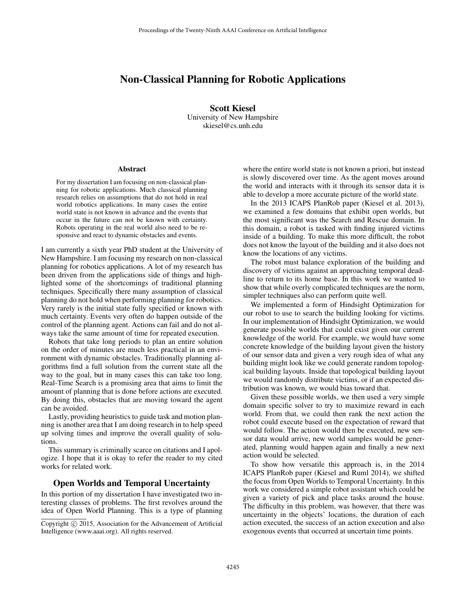# Non-Classical Planning for Robotic Applications

Scott Kiesel University of New Hampshire skiesel@cs.unh.edu

#### Abstract

For my dissertation I am focusing on non-classical planning for robotic applications. Much classical planning research relies on assumptions that do not hold in real world robotics applications. In many cases the entire world state is not known in advance and the events that occur in the future can not be known with certainty. Robots operating in the real world also need to be responsive and react to dynamic obstacles and events.

I am currently a sixth year PhD student at the University of New Hampshire. I am focusing my research on non-classical planning for robotics applications. A lot of my research has been driven from the applications side of things and highlighted some of the shortcomings of traditional planning techniques. Specifically there many assumption of classical planning do not hold when performing planning for robotics. Very rarely is the initial state fully specified or known with much certainty. Events very often do happen outside of the control of the planning agent. Actions can fail and do not always take the same amount of time for repeated execution.

Robots that take long periods to plan an entire solution on the order of minutes are much less practical in an environment with dynamic obstacles. Traditionally planning algorithms find a full solution from the current state all the way to the goal, but in many cases this can take too long. Real-Time Search is a promising area that aims to limit the amount of planning that is done before actions are executed. By doing this, obstacles that are moving toward the agent can be avoided.

Lastly, providing heuristics to guide task and motion planning is another area that I am doing research in to help speed up solving times and improve the overall quality of solutions.

This summary is criminally scarce on citations and I apologize. I hope that it is okay to refer the reader to my cited works for related work.

#### Open Worlds and Temporal Uncertainty

In this portion of my dissertation I have investigated two interesting classes of problems. The first revolves around the idea of Open World Planning. This is a type of planning where the entire world state is not known a priori, but instead is slowly discovered over time. As the agent moves around the world and interacts with it through its sensor data it is able to develop a more accurate picture of the world state.

In the 2013 ICAPS PlanRob paper (Kiesel et al. 2013), we examined a few domains that exhibit open worlds, but the most significant was the Search and Rescue domain. In this domain, a robot is tasked with finding injured victims inside of a building. To make this more difficult, the robot does not know the layout of the building and it also does not know the locations of any victims.

The robot must balance exploration of the building and discovery of victims against an approaching temporal deadline to return to its home base. In this work we wanted to show that while overly complicated techniques are the norm, simpler techniques also can perform quite well.

We implemented a form of Hindsight Optimization for our robot to use to search the building looking for victims. In our implementation of Hindsight Optimization, we would generate possible worlds that could exist given our current knowledge of the world. For example, we would have some concrete knowledge of the building layout given the history of our sensor data and given a very rough idea of what any building might look like we could generate random topological building layouts. Inside that topological building layout we would randomly distribute victims, or if an expected distribution was known, we would bias toward that.

Given these possible worlds, we then used a very simple domain specific solver to try to maximize reward in each world. From that, we could then rank the next action the robot could execute based on the expectation of reward that would follow. The action would then be executed, new sensor data would arrive, new world samples would be generated, planning would happen again and finally a new next action would be selected.

To show how versatile this approach is, in the 2014 ICAPS PlanRob paper (Kiesel and Ruml 2014), we shifted the focus from Open Worlds to Temporal Uncertainty. In this work we considered a simple robot assistant which could be given a variety of pick and place tasks around the house. The difficulty in this problem, was however, that there was uncertainty in the objects' locations, the duration of each action executed, the success of an action execution and also exogenous events that occurred at uncertain time points.

Copyright  $\odot$  2015, Association for the Advancement of Artificial Intelligence (www.aaai.org). All rights reserved.